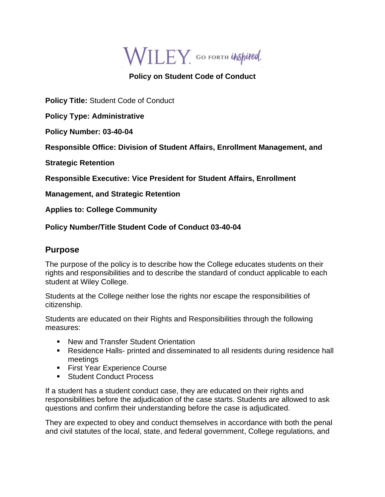WILEY GO FORTH UNSpired.

## **Policy on Student Code of Conduct**

**Policy Title:** Student Code of Conduct

**Policy Type: Administrative** 

**Policy Number: 03-40-04**

**Responsible Office: Division of Student Affairs, Enrollment Management, and** 

**Strategic Retention**

**Responsible Executive: Vice President for Student Affairs, Enrollment** 

**Management, and Strategic Retention** 

**Applies to: College Community** 

**Policy Number/Title Student Code of Conduct 03-40-04**

## **Purpose**

The purpose of the policy is to describe how the College educates students on their rights and responsibilities and to describe the standard of conduct applicable to each student at Wiley College.

Students at the College neither lose the rights nor escape the responsibilities of citizenship.

Students are educated on their Rights and Responsibilities through the following measures:

- New and Transfer Student Orientation
- Residence Halls- printed and disseminated to all residents during residence hall meetings
- **Eirst Year Experience Course**
- Student Conduct Process

If a student has a student conduct case, they are educated on their rights and responsibilities before the adjudication of the case starts. Students are allowed to ask questions and confirm their understanding before the case is adjudicated.

They are expected to obey and conduct themselves in accordance with both the penal and civil statutes of the local, state, and federal government, College regulations, and